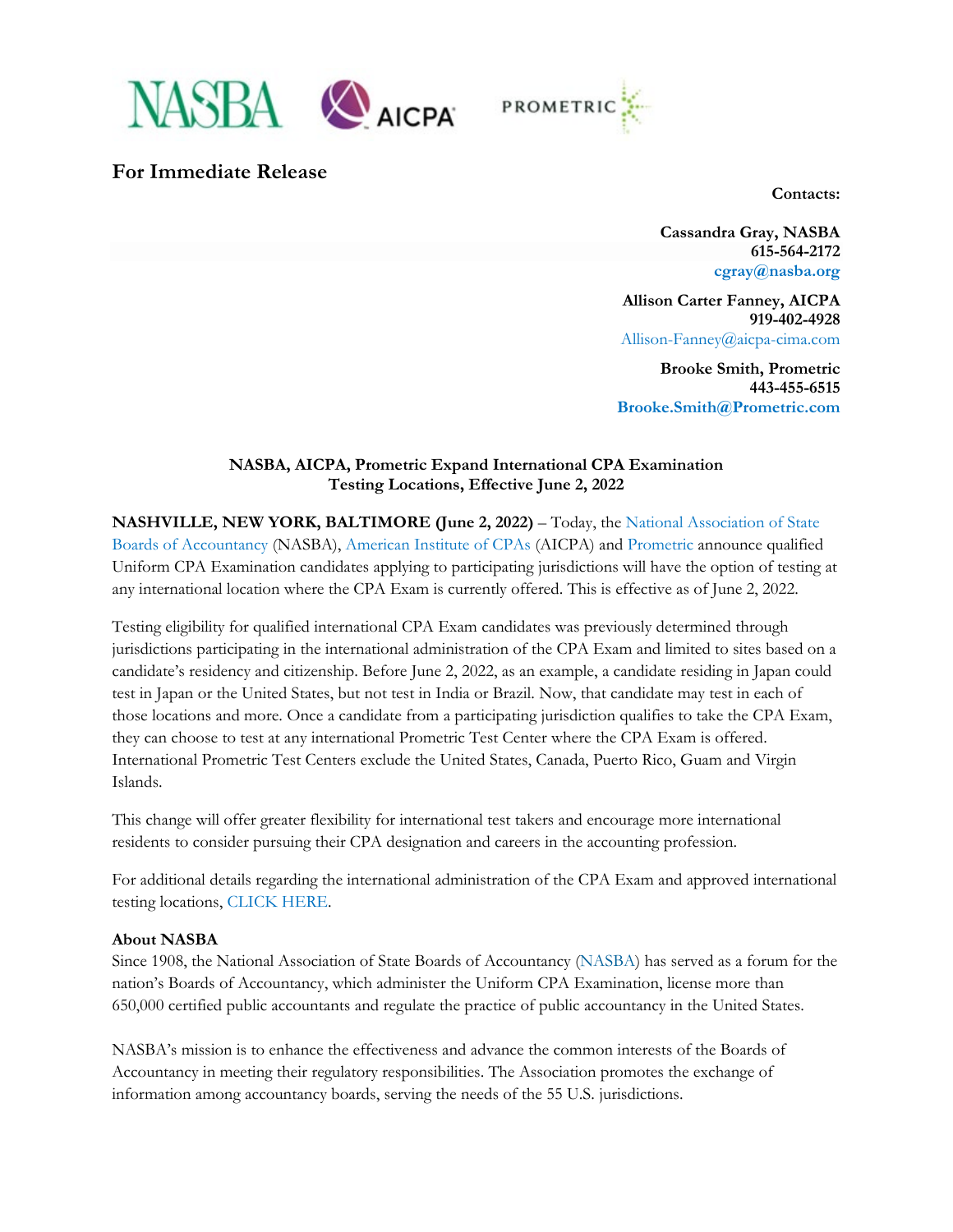



# **For Immediate Release**

**Contacts:**

**Cassandra Gray, NASBA 615-564-2172 [cgray@nasba.org](mailto:cgray@nasba.org)**

**Allison Carter Fanney, AICPA 919-402-4928** Allison-Fanney@aicpa-cima.com

**Brooke Smith, Prometric 443-455-6515 [Brooke.Smith@Prometric.com](mailto:Brooke.Smith@Prometric.com)**

## **NASBA, AICPA, Prometric Expand International CPA Examination Testing Locations, Effective June 2, 2022**

**NASHVILLE, NEW YORK, BALTIMORE (June 2, 2022)** – Today, the [National Association of State](https://www.nasba.org/)  [Boards of Accountancy](https://www.nasba.org/) (NASBA), [American Institute of CPAs](https://www.aicpa.org/) (AICPA) and [Prometric](https://www.prometric.com/) announce qualified Uniform CPA Examination candidates applying to participating jurisdictions will have the option of testing at any international location where the CPA Exam is currently offered. This is effective as of June 2, 2022.

Testing eligibility for qualified international CPA Exam candidates was previously determined through jurisdictions participating in the international administration of the CPA Exam and limited to sites based on a candidate's residency and citizenship. Before June 2, 2022, as an example, a candidate residing in Japan could test in Japan or the United States, but not test in India or Brazil. Now, that candidate may test in each of those locations and more. Once a candidate from a participating jurisdiction qualifies to take the CPA Exam, they can choose to test at any international Prometric Test Center where the CPA Exam is offered. International Prometric Test Centers exclude the United States, Canada, Puerto Rico, Guam and Virgin Islands.

This change will offer greater flexibility for international test takers and encourage more international residents to consider pursuing their CPA designation and careers in the accounting profession.

For additional details regarding the international administration of the CPA Exam and approved international testing locations, [CLICK HERE.](https://nasba.org/internationalexam)

#### **About NASBA**

Since 1908, the National Association of State Boards of Accountancy [\(NASBA\)](http://www.nasba.org/) has served as a forum for the nation's Boards of Accountancy, which administer the Uniform CPA Examination, license more than 650,000 certified public accountants and regulate the practice of public accountancy in the United States.

NASBA's mission is to enhance the effectiveness and advance the common interests of the Boards of Accountancy in meeting their regulatory responsibilities. The Association promotes the exchange of information among accountancy boards, serving the needs of the 55 U.S. jurisdictions.